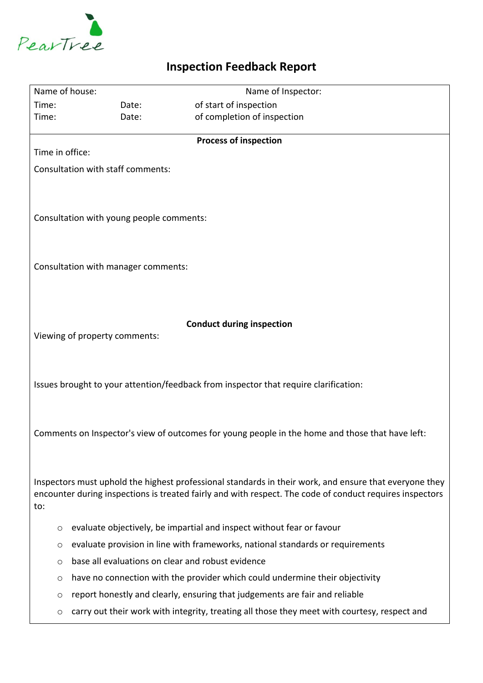

## **Inspection Feedback Report**

| Name of house:                                                                                           |                                                                                | Name of Inspector:                                                                           |
|----------------------------------------------------------------------------------------------------------|--------------------------------------------------------------------------------|----------------------------------------------------------------------------------------------|
| Time:                                                                                                    | Date:                                                                          | of start of inspection                                                                       |
| Time:                                                                                                    | Date:                                                                          | of completion of inspection                                                                  |
| <b>Process of inspection</b>                                                                             |                                                                                |                                                                                              |
| Time in office:                                                                                          |                                                                                |                                                                                              |
| Consultation with staff comments:                                                                        |                                                                                |                                                                                              |
|                                                                                                          |                                                                                |                                                                                              |
|                                                                                                          |                                                                                |                                                                                              |
| Consultation with young people comments:                                                                 |                                                                                |                                                                                              |
|                                                                                                          |                                                                                |                                                                                              |
|                                                                                                          |                                                                                |                                                                                              |
| Consultation with manager comments:                                                                      |                                                                                |                                                                                              |
|                                                                                                          |                                                                                |                                                                                              |
|                                                                                                          |                                                                                |                                                                                              |
|                                                                                                          |                                                                                |                                                                                              |
| <b>Conduct during inspection</b>                                                                         |                                                                                |                                                                                              |
| Viewing of property comments:                                                                            |                                                                                |                                                                                              |
|                                                                                                          |                                                                                |                                                                                              |
|                                                                                                          |                                                                                |                                                                                              |
| Issues brought to your attention/feedback from inspector that require clarification:                     |                                                                                |                                                                                              |
|                                                                                                          |                                                                                |                                                                                              |
|                                                                                                          |                                                                                |                                                                                              |
| Comments on Inspector's view of outcomes for young people in the home and those that have left:          |                                                                                |                                                                                              |
|                                                                                                          |                                                                                |                                                                                              |
|                                                                                                          |                                                                                |                                                                                              |
| Inspectors must uphold the highest professional standards in their work, and ensure that everyone they   |                                                                                |                                                                                              |
| encounter during inspections is treated fairly and with respect. The code of conduct requires inspectors |                                                                                |                                                                                              |
| to:                                                                                                      |                                                                                |                                                                                              |
| $\circ$                                                                                                  |                                                                                | evaluate objectively, be impartial and inspect without fear or favour                        |
| $\circ$                                                                                                  | evaluate provision in line with frameworks, national standards or requirements |                                                                                              |
| $\circ$                                                                                                  | base all evaluations on clear and robust evidence                              |                                                                                              |
| O                                                                                                        |                                                                                | have no connection with the provider which could undermine their objectivity                 |
| $\circ$                                                                                                  |                                                                                | report honestly and clearly, ensuring that judgements are fair and reliable                  |
|                                                                                                          |                                                                                | carry out their work with integrity, treating all those they meet with courtesy, respect and |
| $\circ$                                                                                                  |                                                                                |                                                                                              |